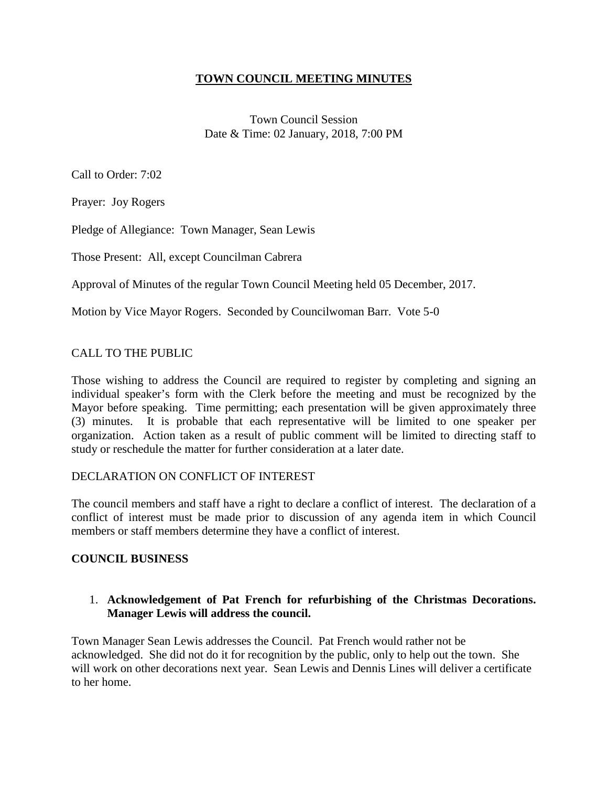## **TOWN COUNCIL MEETING MINUTES**

Town Council Session Date & Time: 02 January, 2018, 7:00 PM

Call to Order: 7:02

Prayer: Joy Rogers

Pledge of Allegiance: Town Manager, Sean Lewis

Those Present: All, except Councilman Cabrera

Approval of Minutes of the regular Town Council Meeting held 05 December, 2017.

Motion by Vice Mayor Rogers. Seconded by Councilwoman Barr. Vote 5-0

## CALL TO THE PUBLIC

Those wishing to address the Council are required to register by completing and signing an individual speaker's form with the Clerk before the meeting and must be recognized by the Mayor before speaking. Time permitting; each presentation will be given approximately three (3) minutes. It is probable that each representative will be limited to one speaker per organization. Action taken as a result of public comment will be limited to directing staff to study or reschedule the matter for further consideration at a later date.

#### DECLARATION ON CONFLICT OF INTEREST

The council members and staff have a right to declare a conflict of interest. The declaration of a conflict of interest must be made prior to discussion of any agenda item in which Council members or staff members determine they have a conflict of interest.

#### **COUNCIL BUSINESS**

## 1. **Acknowledgement of Pat French for refurbishing of the Christmas Decorations. Manager Lewis will address the council.**

Town Manager Sean Lewis addresses the Council. Pat French would rather not be acknowledged. She did not do it for recognition by the public, only to help out the town. She will work on other decorations next year. Sean Lewis and Dennis Lines will deliver a certificate to her home.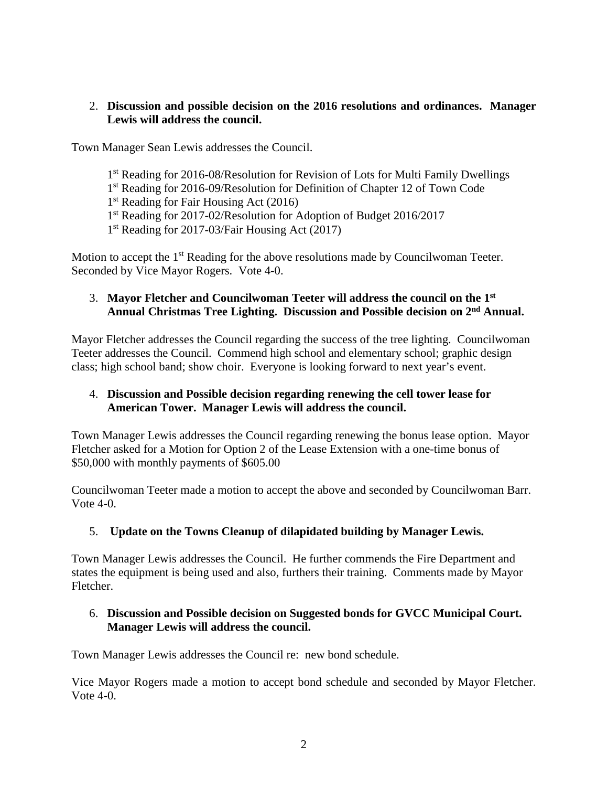## 2. **Discussion and possible decision on the 2016 resolutions and ordinances. Manager Lewis will address the council.**

Town Manager Sean Lewis addresses the Council.

- 1<sup>st</sup> Reading for 2016-08/Resolution for Revision of Lots for Multi Family Dwellings
- 1<sup>st</sup> Reading for 2016-09/Resolution for Definition of Chapter 12 of Town Code
- 1<sup>st</sup> Reading for Fair Housing Act (2016)
- 1<sup>st</sup> Reading for 2017-02/Resolution for Adoption of Budget 2016/2017
- 1<sup>st</sup> Reading for 2017-03/Fair Housing Act (2017)

Motion to accept the 1<sup>st</sup> Reading for the above resolutions made by Councilwoman Teeter. Seconded by Vice Mayor Rogers. Vote 4-0.

## 3. **Mayor Fletcher and Councilwoman Teeter will address the council on the 1st Annual Christmas Tree Lighting. Discussion and Possible decision on 2nd Annual.**

Mayor Fletcher addresses the Council regarding the success of the tree lighting. Councilwoman Teeter addresses the Council. Commend high school and elementary school; graphic design class; high school band; show choir. Everyone is looking forward to next year's event.

## 4. **Discussion and Possible decision regarding renewing the cell tower lease for American Tower. Manager Lewis will address the council.**

Town Manager Lewis addresses the Council regarding renewing the bonus lease option. Mayor Fletcher asked for a Motion for Option 2 of the Lease Extension with a one-time bonus of \$50,000 with monthly payments of \$605.00

Councilwoman Teeter made a motion to accept the above and seconded by Councilwoman Barr. Vote 4-0.

## 5. **Update on the Towns Cleanup of dilapidated building by Manager Lewis.**

Town Manager Lewis addresses the Council. He further commends the Fire Department and states the equipment is being used and also, furthers their training. Comments made by Mayor Fletcher.

## 6. **Discussion and Possible decision on Suggested bonds for GVCC Municipal Court. Manager Lewis will address the council.**

Town Manager Lewis addresses the Council re: new bond schedule.

Vice Mayor Rogers made a motion to accept bond schedule and seconded by Mayor Fletcher. Vote 4-0.